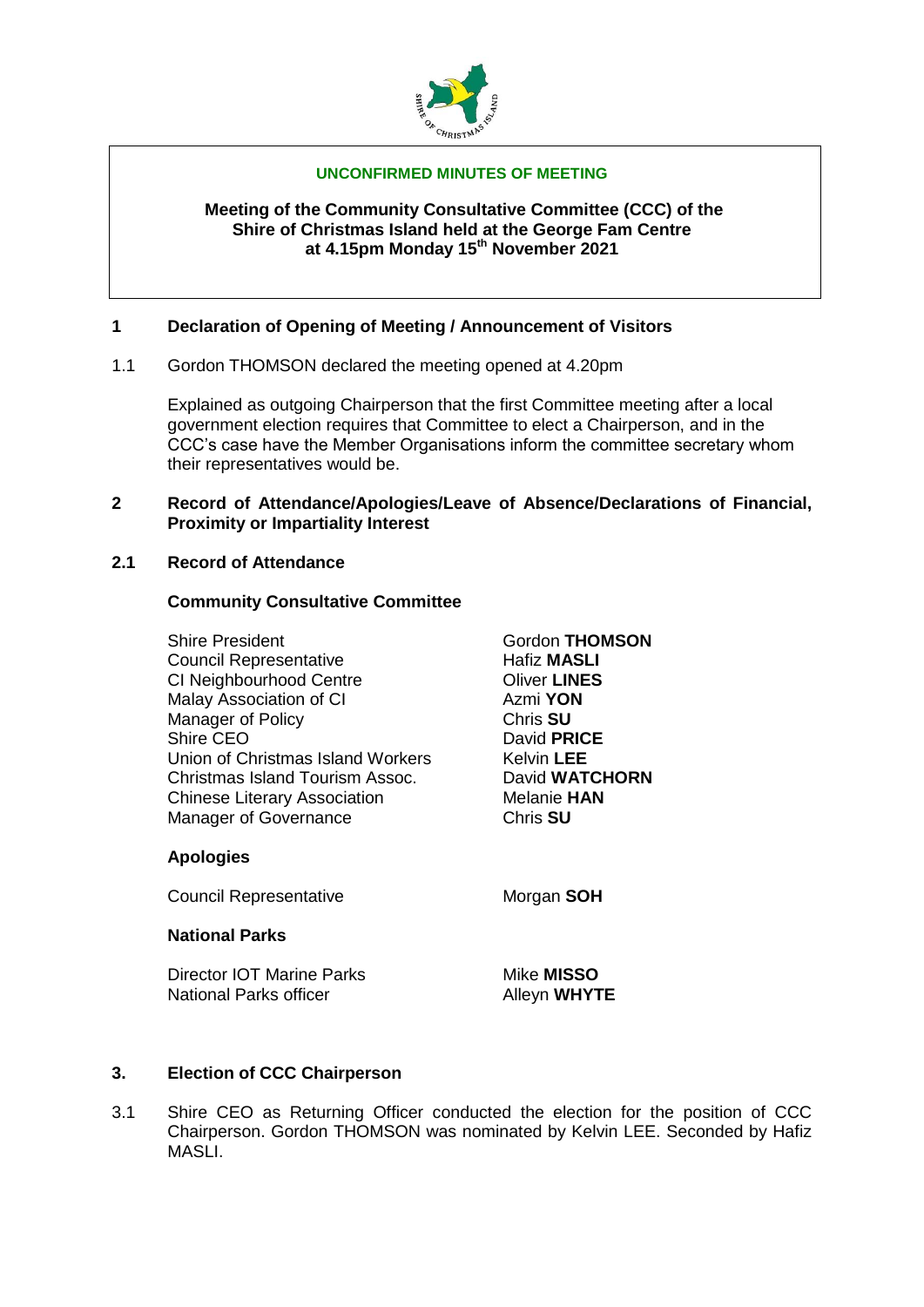

### **UNCONFIRMED MINUTES OF MEETING**

### **Meeting of the Community Consultative Committee (CCC) of the Shire of Christmas Island held at the George Fam Centre at 4.15pm Monday 15th November 2021**

# **1 Declaration of Opening of Meeting / Announcement of Visitors**

1.1 Gordon THOMSON declared the meeting opened at 4.20pm

Explained as outgoing Chairperson that the first Committee meeting after a local government election requires that Committee to elect a Chairperson, and in the CCC's case have the Member Organisations inform the committee secretary whom their representatives would be.

#### **2 Record of Attendance/Apologies/Leave of Absence/Declarations of Financial, Proximity or Impartiality Interest**

# **2.1 Record of Attendance**

### **Community Consultative Committee**

Shire President **Gordon THOMSON Council Representative Council Representative Hafiz MASLI** CI Neighbourhood Centre Oliver **LINES** Malay Association of CI Azmi **YON** Manager of Policy **Chris SU**<br>
Shire CEO **Chris SU** Union of Christmas Island Workers Kelvin **LEE** Christmas Island Tourism Assoc. David **WATCHORN Chinese Literary Association** Melanie **HAN** Manager of Governance **Chris SU** 

David **PRICE** 

# **Apologies**

**Council Representative Morgan SOH** 

# **National Parks**

Director IOT Marine Parks Mike **MISSO** National Parks officer Alleyn WHYTE

# **3. Election of CCC Chairperson**

3.1 Shire CEO as Returning Officer conducted the election for the position of CCC Chairperson. Gordon THOMSON was nominated by Kelvin LEE. Seconded by Hafiz MASLI.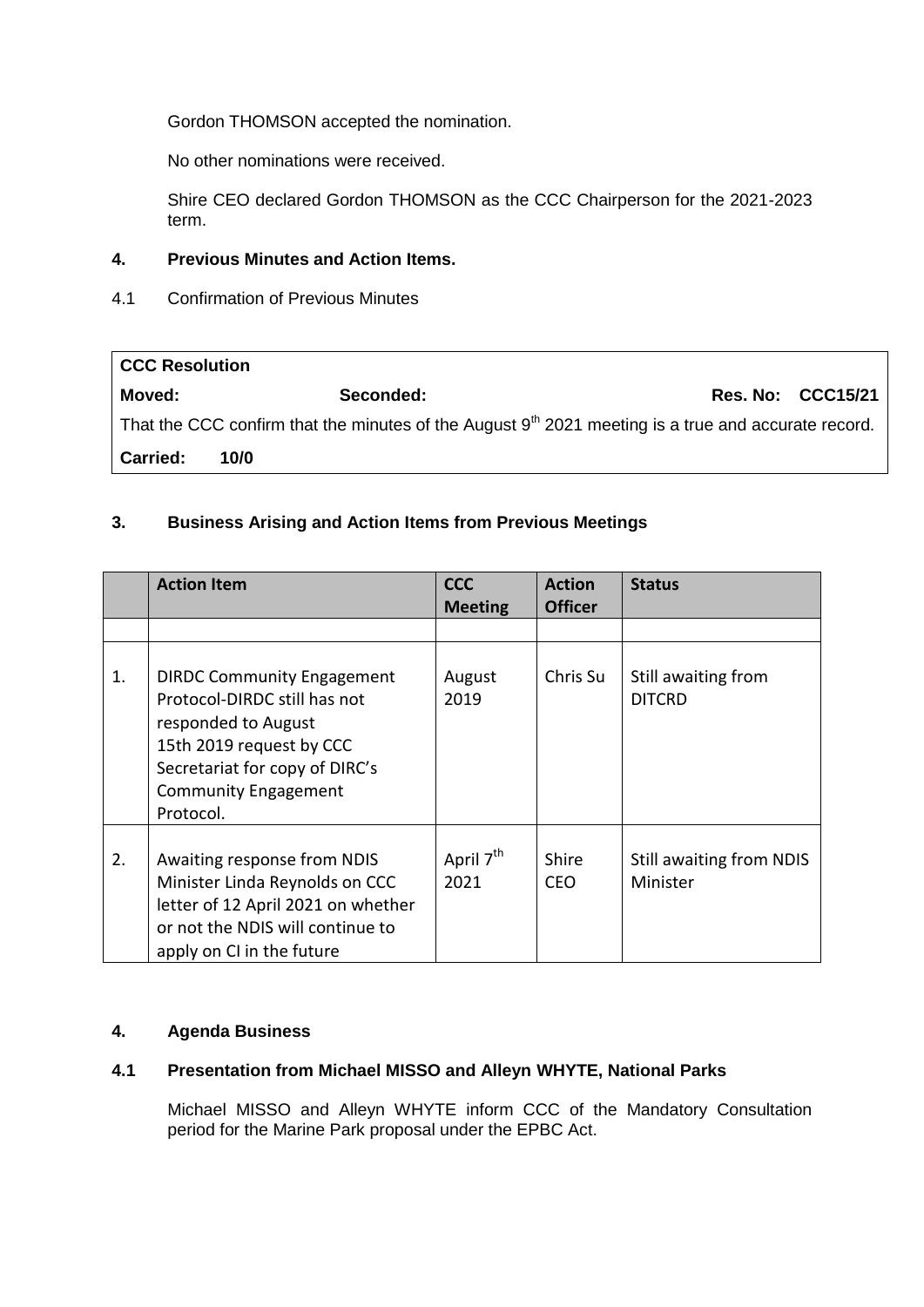Gordon THOMSON accepted the nomination.

No other nominations were received.

Shire CEO declared Gordon THOMSON as the CCC Chairperson for the 2021-2023 term.

# **4. Previous Minutes and Action Items.**

4.1 Confirmation of Previous Minutes

| <b>CCC Resolution</b>                                                                                 |           |                          |  |  |  |
|-------------------------------------------------------------------------------------------------------|-----------|--------------------------|--|--|--|
| Moved:                                                                                                | Seconded: | <b>Res. No: CCC15/21</b> |  |  |  |
| That the CCC confirm that the minutes of the August $9th$ 2021 meeting is a true and accurate record. |           |                          |  |  |  |
| <b>Carried:</b>                                                                                       | 10/0      |                          |  |  |  |

# **3. Business Arising and Action Items from Previous Meetings**

|    | <b>Action Item</b>                                                                                                                                                                                 | <b>CCC</b><br><b>Meeting</b>  | <b>Action</b><br><b>Officer</b> | <b>Status</b>                        |
|----|----------------------------------------------------------------------------------------------------------------------------------------------------------------------------------------------------|-------------------------------|---------------------------------|--------------------------------------|
|    |                                                                                                                                                                                                    |                               |                                 |                                      |
| 1. | <b>DIRDC Community Engagement</b><br>Protocol-DIRDC still has not<br>responded to August<br>15th 2019 request by CCC<br>Secretariat for copy of DIRC's<br><b>Community Engagement</b><br>Protocol. | August<br>2019                | Chris Su                        | Still awaiting from<br><b>DITCRD</b> |
| 2. | Awaiting response from NDIS<br>Minister Linda Reynolds on CCC<br>letter of 12 April 2021 on whether<br>or not the NDIS will continue to<br>apply on CI in the future                               | April 7 <sup>th</sup><br>2021 | Shire<br><b>CEO</b>             | Still awaiting from NDIS<br>Minister |

# **4. Agenda Business**

# **4.1 Presentation from Michael MISSO and Alleyn WHYTE, National Parks**

Michael MISSO and Alleyn WHYTE inform CCC of the Mandatory Consultation period for the Marine Park proposal under the EPBC Act.